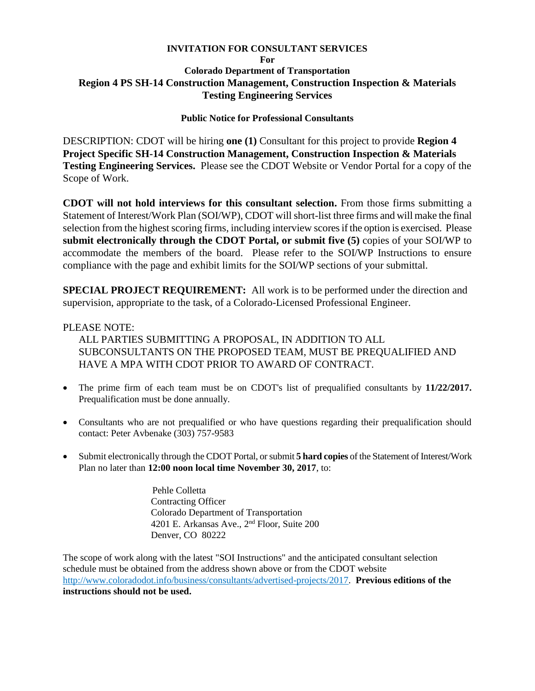# **INVITATION FOR CONSULTANT SERVICES For Colorado Department of Transportation Region 4 PS SH-14 Construction Management, Construction Inspection & Materials Testing Engineering Services**

# **Public Notice for Professional Consultants**

DESCRIPTION: CDOT will be hiring **one (1)** Consultant for this project to provide **Region 4 Project Specific SH-14 Construction Management, Construction Inspection & Materials Testing Engineering Services.** Please see the CDOT Website or Vendor Portal for a copy of the Scope of Work.

**CDOT will not hold interviews for this consultant selection.** From those firms submitting a Statement of Interest/Work Plan (SOI/WP), CDOT will short-list three firms and will make the final selection from the highest scoring firms, including interview scores if the option is exercised. Please **submit electronically through the CDOT Portal, or submit five (5)** copies of your SOI/WP to accommodate the members of the board. Please refer to the SOI/WP Instructions to ensure compliance with the page and exhibit limits for the SOI/WP sections of your submittal.

**SPECIAL PROJECT REQUIREMENT:** All work is to be performed under the direction and supervision, appropriate to the task, of a Colorado-Licensed Professional Engineer.

### PLEASE NOTE:

ALL PARTIES SUBMITTING A PROPOSAL, IN ADDITION TO ALL SUBCONSULTANTS ON THE PROPOSED TEAM, MUST BE PREQUALIFIED AND HAVE A MPA WITH CDOT PRIOR TO AWARD OF CONTRACT.

- The prime firm of each team must be on CDOT's list of prequalified consultants by **11/22/2017.** Prequalification must be done annually.
- Consultants who are not prequalified or who have questions regarding their prequalification should contact: Peter Avbenake (303) 757-9583
- Submit electronically through the CDOT Portal, or submit **5 hard copies** of the Statement of Interest/Work Plan no later than **12:00 noon local time November 30, 2017**, to:

 Pehle Colletta Contracting Officer Colorado Department of Transportation 4201 E. Arkansas Ave., 2<sup>nd</sup> Floor, Suite 200 Denver, CO 80222

The scope of work along with the latest "SOI Instructions" and the anticipated consultant selection schedule must be obtained from the address shown above or from the CDOT website http://www.coloradodot.info/business/consultants/advertised-projects/2017. **Previous editions of the instructions should not be used.**